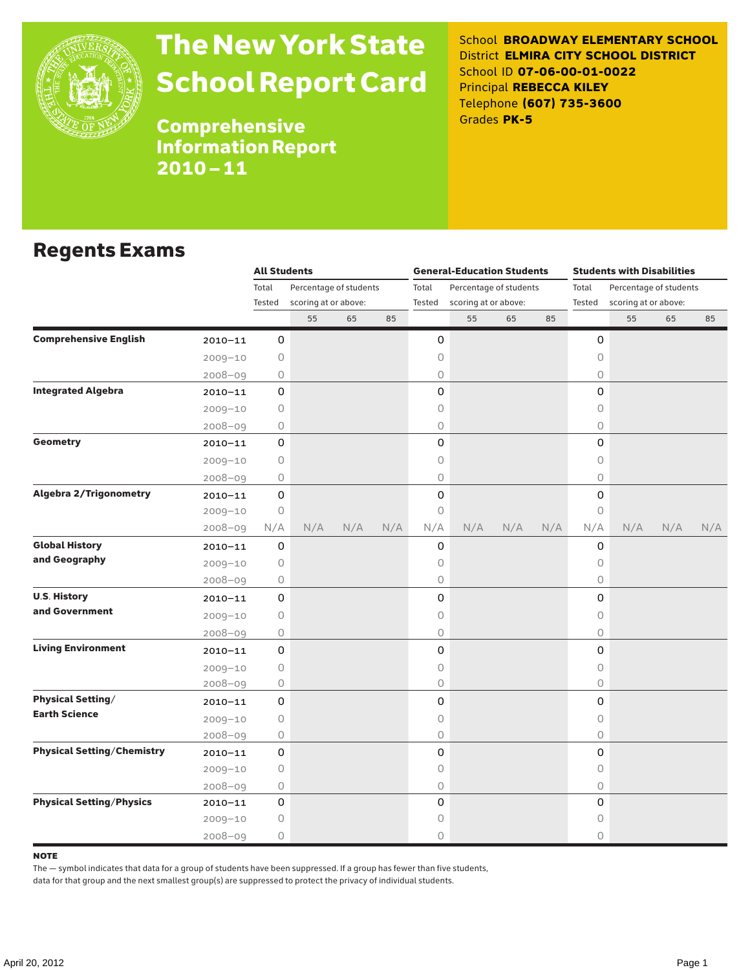

# The New York State School Report Card

School **BROADWAY ELEMENTARY SCHOOL** District **ELMIRA CITY SCHOOL DISTRICT** School ID **07-06-00-01-0022** Principal **REBECCA KILEY** Telephone **(607) 735-3600** Grades **PK-5**

Comprehensive Information Report 2010–11

## Regents Exams

|                                   |             | <b>All Students</b> |                                                |     |     |                 | <b>General-Education Students</b> |                        |     | <b>Students with Disabilities</b> |                      |                        |     |  |
|-----------------------------------|-------------|---------------------|------------------------------------------------|-----|-----|-----------------|-----------------------------------|------------------------|-----|-----------------------------------|----------------------|------------------------|-----|--|
|                                   |             | Total               | Percentage of students<br>scoring at or above: |     |     | Total<br>Tested |                                   | Percentage of students |     | Total<br>Tested                   |                      | Percentage of students |     |  |
|                                   |             | Tested              |                                                |     |     |                 | scoring at or above:              |                        |     |                                   | scoring at or above: |                        |     |  |
|                                   |             |                     | 55                                             | 65  | 85  |                 | 55                                | 65                     | 85  |                                   | 55                   | 65                     | 85  |  |
| <b>Comprehensive English</b>      | $2010 - 11$ | 0                   |                                                |     |     | 0               |                                   |                        |     | 0                                 |                      |                        |     |  |
|                                   | $2009 - 10$ | 0                   |                                                |     |     | 0               |                                   |                        |     | 0                                 |                      |                        |     |  |
|                                   | $2008 - 09$ | 0                   |                                                |     |     | 0               |                                   |                        |     | 0                                 |                      |                        |     |  |
| <b>Integrated Algebra</b>         | $2010 - 11$ | $\mathbf 0$         |                                                |     |     | 0               |                                   |                        |     | $\mathsf{O}$                      |                      |                        |     |  |
|                                   | $2009 - 10$ | 0                   |                                                |     |     | 0               |                                   |                        |     | $\circ$                           |                      |                        |     |  |
|                                   | $2008 - 09$ | 0                   |                                                |     |     | 0               |                                   |                        |     | $\circ$                           |                      |                        |     |  |
| <b>Geometry</b>                   | $2010 - 11$ | 0                   |                                                |     |     | 0               |                                   |                        |     | $\Omega$                          |                      |                        |     |  |
|                                   | $2009 - 10$ | 0                   |                                                |     |     | 0               |                                   |                        |     | 0                                 |                      |                        |     |  |
|                                   | 2008-09     | 0                   |                                                |     |     | 0               |                                   |                        |     | 0                                 |                      |                        |     |  |
| <b>Algebra 2/Trigonometry</b>     | $2010 - 11$ | 0                   |                                                |     |     | 0               |                                   |                        |     | 0                                 |                      |                        |     |  |
|                                   | $2009 - 10$ | $\bigcirc$          |                                                |     |     | 0               |                                   |                        |     | $\circ$                           |                      |                        |     |  |
|                                   | $2008 - 09$ | N/A                 | N/A                                            | N/A | N/A | N/A             | N/A                               | N/A                    | N/A | N/A                               | N/A                  | N/A                    | N/A |  |
| <b>Global History</b>             | $2010 - 11$ | 0                   |                                                |     |     | 0               |                                   |                        |     | 0                                 |                      |                        |     |  |
| and Geography                     | $2009 - 10$ | 0                   |                                                |     |     | 0               |                                   |                        |     | 0                                 |                      |                        |     |  |
|                                   | $2008 - 09$ | 0                   |                                                |     |     | 0               |                                   |                        |     | 0                                 |                      |                        |     |  |
| <b>U.S. History</b>               | $2010 - 11$ | 0                   |                                                |     |     | 0               |                                   |                        |     | $\mathsf{O}$                      |                      |                        |     |  |
| and Government                    | $2009 - 10$ | 0                   |                                                |     |     | 0               |                                   |                        |     | $\bigcirc$                        |                      |                        |     |  |
|                                   | $2008 - 09$ | 0                   |                                                |     |     | 0               |                                   |                        |     | $\circ$                           |                      |                        |     |  |
| <b>Living Environment</b>         | $2010 - 11$ | 0                   |                                                |     |     | 0               |                                   |                        |     | $\mathsf{O}$                      |                      |                        |     |  |
|                                   | $2009 - 10$ | 0                   |                                                |     |     | 0               |                                   |                        |     | 0                                 |                      |                        |     |  |
|                                   | 2008-09     | 0                   |                                                |     |     | 0               |                                   |                        |     | $\circ$                           |                      |                        |     |  |
| <b>Physical Setting/</b>          | $2010 - 11$ | 0                   |                                                |     |     | 0               |                                   |                        |     | 0                                 |                      |                        |     |  |
| <b>Earth Science</b>              | $2009 - 10$ | 0                   |                                                |     |     | 0               |                                   |                        |     | $\circ$                           |                      |                        |     |  |
|                                   | $2008 - 09$ | 0                   |                                                |     |     | 0               |                                   |                        |     | $\circ$                           |                      |                        |     |  |
| <b>Physical Setting/Chemistry</b> | $2010 - 11$ | 0                   |                                                |     |     | 0               |                                   |                        |     | 0                                 |                      |                        |     |  |
|                                   | $2009 - 10$ | $\circ$             |                                                |     |     | 0               |                                   |                        |     | $\circ$                           |                      |                        |     |  |
|                                   | $2008 - 09$ | 0                   |                                                |     |     | 0               |                                   |                        |     | $\circ$                           |                      |                        |     |  |
| <b>Physical Setting/Physics</b>   | 2010-11     | 0                   |                                                |     |     | 0               |                                   |                        |     | $\mathsf{O}$                      |                      |                        |     |  |
|                                   | $2009 - 10$ | 0                   |                                                |     |     | 0               |                                   |                        |     | 0                                 |                      |                        |     |  |
|                                   | $2008 - 09$ | 0                   |                                                |     |     | 0               |                                   |                        |     | $\circ$                           |                      |                        |     |  |

### **NOTE**

The — symbol indicates that data for a group of students have been suppressed. If a group has fewer than five students,

data for that group and the next smallest group(s) are suppressed to protect the privacy of individual students.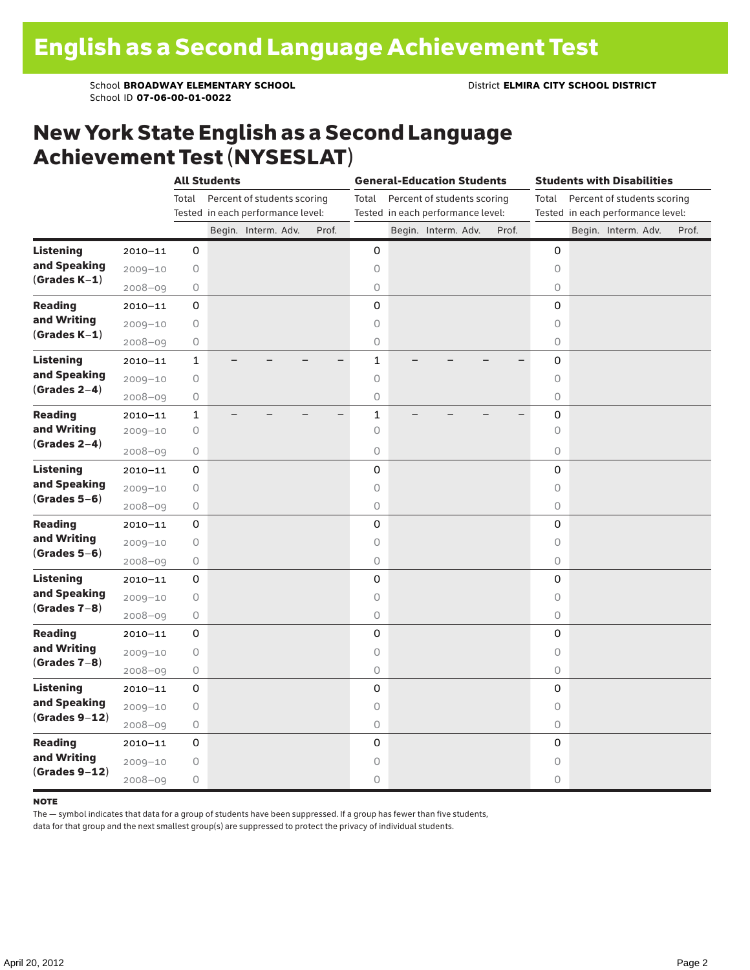School **BROADWAY ELEMENTARY SCHOOL** District **ELMIRA CITY SCHOOL DISTRICT** School ID **07-06-00-01-0022**

### New York State English as a Second Language Achievement Test (NYSESLAT)

|                                                     |             |                                      | <b>All Students</b>               |                     |  |       | <b>General-Education Students</b> |  | <b>Students with Disabilities</b> |  |                                      |                                   |  |                     |  |       |
|-----------------------------------------------------|-------------|--------------------------------------|-----------------------------------|---------------------|--|-------|-----------------------------------|--|-----------------------------------|--|--------------------------------------|-----------------------------------|--|---------------------|--|-------|
|                                                     |             | Percent of students scoring<br>Total |                                   |                     |  |       | Total                             |  | Percent of students scoring       |  | Percent of students scoring<br>Total |                                   |  |                     |  |       |
|                                                     |             |                                      | Tested in each performance level: |                     |  |       |                                   |  | Tested in each performance level: |  |                                      | Tested in each performance level: |  |                     |  |       |
|                                                     |             |                                      |                                   | Begin. Interm. Adv. |  | Prof. |                                   |  | Begin. Interm. Adv.               |  | Prof.                                |                                   |  | Begin. Interm. Adv. |  | Prof. |
| <b>Listening</b>                                    | $2010 - 11$ | 0                                    |                                   |                     |  |       | 0                                 |  |                                   |  |                                      | 0                                 |  |                     |  |       |
| and Speaking<br>$(Grades K-1)$                      | $2009 - 10$ | $\bigcirc$                           |                                   |                     |  |       | $\circ$                           |  |                                   |  |                                      | $\circ$                           |  |                     |  |       |
|                                                     | $2008 - 09$ | $\bigcirc$                           |                                   |                     |  |       | $\circlearrowright$               |  |                                   |  |                                      | 0                                 |  |                     |  |       |
| <b>Reading</b><br>and Writing<br>$(Grades K-1)$     | $2010 - 11$ | 0                                    |                                   |                     |  |       | 0                                 |  |                                   |  |                                      | $\mathbf 0$                       |  |                     |  |       |
|                                                     | $2009 - 10$ | 0                                    |                                   |                     |  |       | 0                                 |  |                                   |  |                                      | $\circ$                           |  |                     |  |       |
|                                                     | $2008 - 09$ | $\bigcirc$                           |                                   |                     |  |       | $\mathsf O$                       |  |                                   |  |                                      | 0                                 |  |                     |  |       |
| <b>Listening</b><br>and Speaking<br>$(Grades 2-4)$  | $2010 - 11$ | $\mathbf 1$                          |                                   |                     |  |       | $\mathbf 1$                       |  |                                   |  |                                      | $\mathbf 0$                       |  |                     |  |       |
|                                                     | $2009 - 10$ | $\bigcirc$                           |                                   |                     |  |       | $\circ$                           |  |                                   |  |                                      | $\circ$                           |  |                     |  |       |
|                                                     | $2008 - 09$ | $\bigcirc$                           |                                   |                     |  |       | $\circ$                           |  |                                   |  |                                      | $\circ$                           |  |                     |  |       |
| <b>Reading</b><br>and Writing<br>$(Grades 2-4)$     | $2010 - 11$ | $\mathbf 1$                          |                                   |                     |  |       | $\mathbf{1}$                      |  |                                   |  |                                      | $\mathbf 0$                       |  |                     |  |       |
|                                                     | $2009 - 10$ | $\bigcirc$                           |                                   |                     |  |       | $\circ$                           |  |                                   |  |                                      | $\circ$                           |  |                     |  |       |
|                                                     | $2008 - 09$ | 0                                    |                                   |                     |  |       | $\circlearrowright$               |  |                                   |  |                                      | 0                                 |  |                     |  |       |
| <b>Listening</b><br>and Speaking<br>$(Grades 5-6)$  | $2010 - 11$ | 0                                    |                                   |                     |  |       | 0                                 |  |                                   |  |                                      | 0                                 |  |                     |  |       |
|                                                     | $2009 - 10$ | $\bigcirc$                           |                                   |                     |  |       | $\circ$                           |  |                                   |  |                                      | $\circ$                           |  |                     |  |       |
|                                                     | $2008 - 09$ | $\bigcirc$                           |                                   |                     |  |       | $\bigcirc$                        |  |                                   |  |                                      | 0                                 |  |                     |  |       |
| <b>Reading</b>                                      | $2010 - 11$ | 0                                    |                                   |                     |  |       | 0                                 |  |                                   |  |                                      | $\mathbf 0$                       |  |                     |  |       |
| and Writing                                         | $2009 - 10$ | $\bigcirc$                           |                                   |                     |  |       | $\circ$                           |  |                                   |  |                                      | $\circlearrowright$               |  |                     |  |       |
| $(Grades 5-6)$                                      | $2008 - 09$ | $\bigcirc$                           |                                   |                     |  |       | $\circ$                           |  |                                   |  |                                      | 0                                 |  |                     |  |       |
| <b>Listening</b><br>and Speaking<br>$(Grades 7-8)$  | $2010 - 11$ | 0                                    |                                   |                     |  |       | 0                                 |  |                                   |  |                                      | 0                                 |  |                     |  |       |
|                                                     | $2009 - 10$ | $\bigcirc$                           |                                   |                     |  |       | $\circ$                           |  |                                   |  |                                      | $\circ$                           |  |                     |  |       |
|                                                     | $2008 - 09$ | $\bigcirc$                           |                                   |                     |  |       | 0                                 |  |                                   |  |                                      | 0                                 |  |                     |  |       |
| <b>Reading</b><br>and Writing<br>$(Grades 7-8)$     | $2010 - 11$ | 0                                    |                                   |                     |  |       | 0                                 |  |                                   |  |                                      | $\mathbf 0$                       |  |                     |  |       |
|                                                     | $2009 - 10$ | 0                                    |                                   |                     |  |       | $\circ$                           |  |                                   |  |                                      | $\circ$                           |  |                     |  |       |
|                                                     | $2008 - 09$ | $\bigcirc$                           |                                   |                     |  |       | $\mathsf O$                       |  |                                   |  |                                      | 0                                 |  |                     |  |       |
| <b>Listening</b><br>and Speaking<br>$(Grades 9-12)$ | $2010 - 11$ | 0                                    |                                   |                     |  |       | 0                                 |  |                                   |  |                                      | $\mathbf 0$                       |  |                     |  |       |
|                                                     | $2009 - 10$ | $\bigcirc$                           |                                   |                     |  |       | $\circ$                           |  |                                   |  |                                      | $\circ$                           |  |                     |  |       |
|                                                     | $2008 - 09$ | $\bigcirc$                           |                                   |                     |  |       | $\circ$                           |  |                                   |  |                                      | $\circ$                           |  |                     |  |       |
| <b>Reading</b><br>and Writing<br>$(Grades 9-12)$    | $2010 - 11$ | 0                                    |                                   |                     |  |       | 0                                 |  |                                   |  |                                      | 0                                 |  |                     |  |       |
|                                                     | $2009 - 10$ | $\bigcirc$                           |                                   |                     |  |       | $\circ$                           |  |                                   |  |                                      | $\circ$                           |  |                     |  |       |
|                                                     | $2008 - 09$ | $\bigcirc$                           |                                   |                     |  |       | $\circ$                           |  |                                   |  |                                      | 0                                 |  |                     |  |       |

#### note

The — symbol indicates that data for a group of students have been suppressed. If a group has fewer than five students,

data for that group and the next smallest group(s) are suppressed to protect the privacy of individual students.